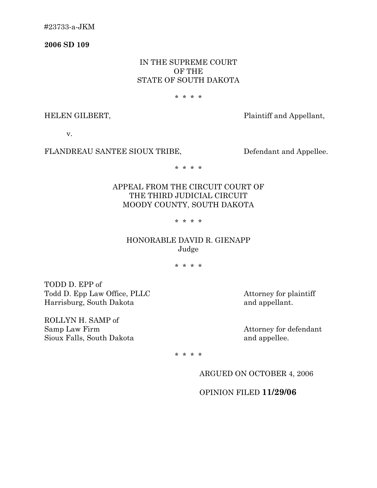#23733-a-JKM

**2006 SD 109** 

## IN THE SUPREME COURT OF THE STATE OF SOUTH DAKOTA

#### \* \* \* \*

HELEN GILBERT, Plaintiff and Appellant,

v.

#### FLANDREAU SANTEE SIOUX TRIBE, Defendant and Appellee.

\* \* \* \*

# APPEAL FROM THE CIRCUIT COURT OF THE THIRD JUDICIAL CIRCUIT MOODY COUNTY, SOUTH DAKOTA

### \* \* \* \*

## HONORABLE DAVID R. GIENAPP Judge

\* \* \* \*

TODD D. EPP of Todd D. Epp Law Office, PLLC Attorney for plaintiff Harrisburg, South Dakota and appellant.

ROLLYN H. SAMP of Samp Law Firm Attorney for defendant Sioux Falls, South Dakota **and appellee**.

\* \* \* \*

ARGUED ON OCTOBER 4, 2006

OPINION FILED **11/29/06**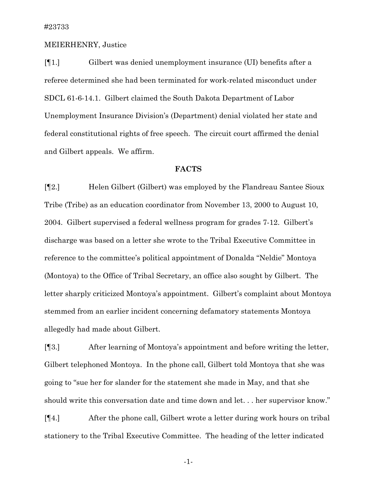#### MEIERHENRY, Justice

[¶1.] Gilbert was denied unemployment insurance (UI) benefits after a referee determined she had been terminated for work-related misconduct under SDCL 61-6-14.1. Gilbert claimed the South Dakota Department of Labor Unemployment Insurance Division's (Department) denial violated her state and federal constitutional rights of free speech. The circuit court affirmed the denial and Gilbert appeals. We affirm.

### **FACTS**

[¶2.] Helen Gilbert (Gilbert) was employed by the Flandreau Santee Sioux Tribe (Tribe) as an education coordinator from November 13, 2000 to August 10, 2004. Gilbert supervised a federal wellness program for grades 7-12. Gilbert's discharge was based on a letter she wrote to the Tribal Executive Committee in reference to the committee's political appointment of Donalda "Neldie" Montoya (Montoya) to the Office of Tribal Secretary, an office also sought by Gilbert. The letter sharply criticized Montoya's appointment. Gilbert's complaint about Montoya stemmed from an earlier incident concerning defamatory statements Montoya allegedly had made about Gilbert.

[¶3.] After learning of Montoya's appointment and before writing the letter, Gilbert telephoned Montoya. In the phone call, Gilbert told Montoya that she was going to "sue her for slander for the statement she made in May, and that she should write this conversation date and time down and let. . . her supervisor know."

[¶4.] After the phone call, Gilbert wrote a letter during work hours on tribal stationery to the Tribal Executive Committee. The heading of the letter indicated

-1-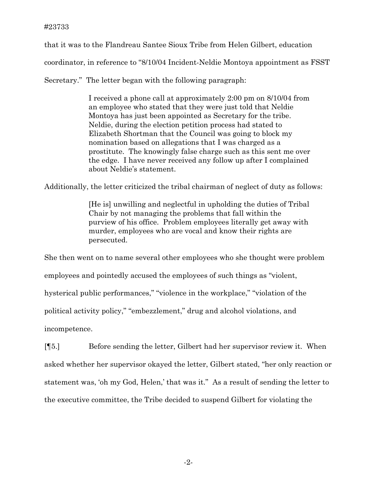that it was to the Flandreau Santee Sioux Tribe from Helen Gilbert, education coordinator, in reference to "8/10/04 Incident-Neldie Montoya appointment as FSST

Secretary." The letter began with the following paragraph:

I received a phone call at approximately 2:00 pm on 8/10/04 from an employee who stated that they were just told that Neldie Montoya has just been appointed as Secretary for the tribe. Neldie, during the election petition process had stated to Elizabeth Shortman that the Council was going to block my nomination based on allegations that I was charged as a prostitute. The knowingly false charge such as this sent me over the edge. I have never received any follow up after I complained about Neldie's statement.

Additionally, the letter criticized the tribal chairman of neglect of duty as follows:

[He is] unwilling and neglectful in upholding the duties of Tribal Chair by not managing the problems that fall within the purview of his office. Problem employees literally get away with murder, employees who are vocal and know their rights are persecuted.

She then went on to name several other employees who she thought were problem employees and pointedly accused the employees of such things as "violent, hysterical public performances," "violence in the workplace," "violation of the political activity policy," "embezzlement," drug and alcohol violations, and incompetence.

[¶5.] Before sending the letter, Gilbert had her supervisor review it. When asked whether her supervisor okayed the letter, Gilbert stated, "her only reaction or statement was, 'oh my God, Helen,' that was it." As a result of sending the letter to the executive committee, the Tribe decided to suspend Gilbert for violating the

-2-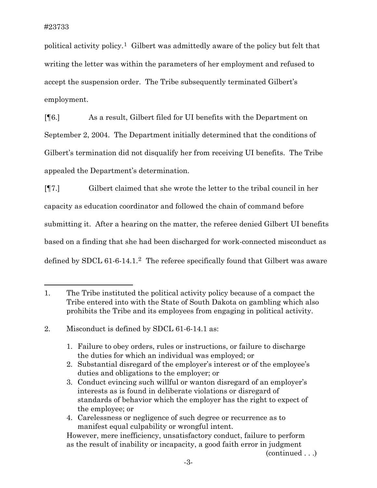political activity policy.[1](#page-3-0) Gilbert was admittedly aware of the policy but felt that writing the letter was within the parameters of her employment and refused to accept the suspension order. The Tribe subsequently terminated Gilbert's employment.

[¶6.] As a result, Gilbert filed for UI benefits with the Department on September 2, 2004. The Department initially determined that the conditions of Gilbert's termination did not disqualify her from receiving UI benefits. The Tribe appealed the Department's determination.

[¶7.] Gilbert claimed that she wrote the letter to the tribal council in her capacity as education coordinator and followed the chain of command before submitting it. After a hearing on the matter, the referee denied Gilbert UI benefits based on a finding that she had been discharged for work-connected misconduct as defined by SDCL 61-6-14.1.[2](#page-3-1) The referee specifically found that Gilbert was aware

1. Failure to obey orders, rules or instructions, or failure to discharge the duties for which an individual was employed; or

4. Carelessness or negligence of such degree or recurrence as to manifest equal culpability or wrongful intent.

(continued . . .)

<span id="page-3-0"></span><sup>1.</sup> The Tribe instituted the political activity policy because of a compact the Tribe entered into with the State of South Dakota on gambling which also prohibits the Tribe and its employees from engaging in political activity.

<span id="page-3-1"></span><sup>2.</sup> Misconduct is defined by SDCL 61-6-14.1 as:

<sup>2.</sup> Substantial disregard of the employer's interest or of the employee's duties and obligations to the employer; or

<sup>3.</sup> Conduct evincing such willful or wanton disregard of an employer's interests as is found in deliberate violations or disregard of standards of behavior which the employer has the right to expect of the employee; or

However, mere inefficiency, unsatisfactory conduct, failure to perform as the result of inability or incapacity, a good faith error in judgment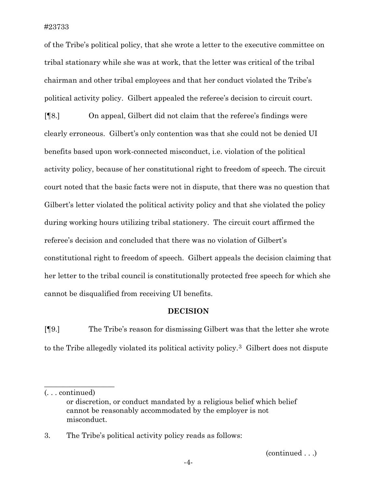of the Tribe's political policy, that she wrote a letter to the executive committee on tribal stationary while she was at work, that the letter was critical of the tribal chairman and other tribal employees and that her conduct violated the Tribe's political activity policy. Gilbert appealed the referee's decision to circuit court.

[¶8.] On appeal, Gilbert did not claim that the referee's findings were clearly erroneous. Gilbert's only contention was that she could not be denied UI benefits based upon work-connected misconduct, i.e. violation of the political activity policy, because of her constitutional right to freedom of speech. The circuit court noted that the basic facts were not in dispute, that there was no question that Gilbert's letter violated the political activity policy and that she violated the policy during working hours utilizing tribal stationery. The circuit court affirmed the referee's decision and concluded that there was no violation of Gilbert's constitutional right to freedom of speech. Gilbert appeals the decision claiming that her letter to the tribal council is constitutionally protected free speech for which she cannot be disqualified from receiving UI benefits.

### **DECISION**

[¶9.] The Tribe's reason for dismissing Gilbert was that the letter she wrote to the Tribe allegedly violated its political activity policy.[3](#page-4-0) Gilbert does not dispute

\_\_\_\_\_\_\_\_\_\_\_\_\_\_\_\_\_\_\_

(continued . . .)

<sup>(. . .</sup> continued)

or discretion, or conduct mandated by a religious belief which belief cannot be reasonably accommodated by the employer is not misconduct.

<span id="page-4-0"></span><sup>3.</sup> The Tribe's political activity policy reads as follows: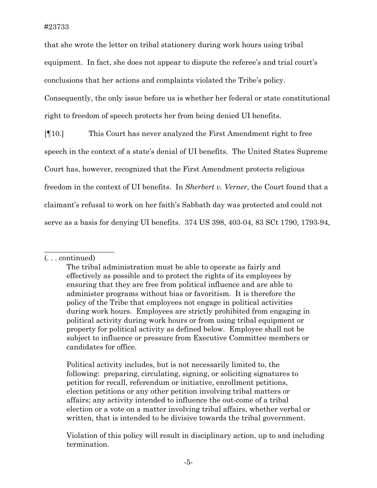that she wrote the letter on tribal stationery during work hours using tribal equipment. In fact, she does not appear to dispute the referee's and trial court's conclusions that her actions and complaints violated the Tribe's policy. Consequently, the only issue before us is whether her federal or state constitutional right to freedom of speech protects her from being denied UI benefits.

[¶10.] This Court has never analyzed the First Amendment right to free speech in the context of a state's denial of UI benefits. The United States Supreme Court has, however, recognized that the First Amendment protects religious freedom in the context of UI benefits. In *Sherbert v. Verner*, the Court found that a claimant's refusal to work on her faith's Sabbath day was protected and could not serve as a basis for denying UI benefits. 374 US 398, 403-04, 83 SCt 1790, 1793-94,

 $\_$ 

 Political activity includes, but is not necessarily limited to, the following: preparing, circulating, signing, or soliciting signatures to petition for recall, referendum or initiative, enrollment petitions, election petitions or any other petition involving tribal matters or affairs; any activity intended to influence the out-come of a tribal election or a vote on a matter involving tribal affairs, whether verbal or written, that is intended to be divisive towards the tribal government.

Violation of this policy will result in disciplinary action, up to and including termination.

<sup>(. . .</sup> continued)

The tribal administration must be able to operate as fairly and effectively as possible and to protect the rights of its employees by ensuring that they are free from political influence and are able to administer programs without bias or favoritism. It is therefore the policy of the Tribe that employees not engage in political activities during work hours. Employees are strictly prohibited from engaging in political activity during work hours or from using tribal equipment or property for political activity as defined below. Employee shall not be subject to influence or pressure from Executive Committee members or candidates for office.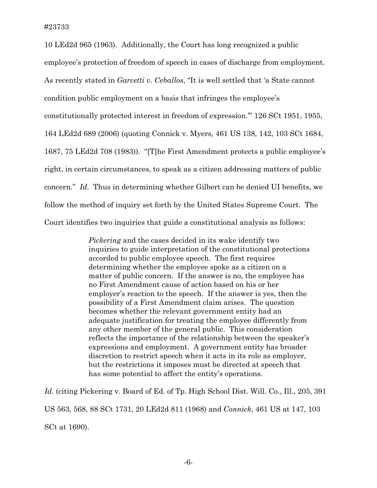10 LEd2d 965 (1963). Additionally, the Court has long recognized a public employee's protection of freedom of speech in cases of discharge from employment. As recently stated in *Garcetti v. Ceballos*, "It is well settled that 'a State cannot condition public employment on a basis that infringes the employee's constitutionally protected interest in freedom of expression.'" 126 SCt 1951, 1955, 164 LEd2d 689 (2006) (quoting [Connick v. Myers](http://www.westlaw.com/Find/Default.wl?rs=dfa1.0&vr=2.0&DB=708&FindType=Y&SerialNum=1983118236)*,* [461 US 138, 142, 103 SCt 1684,](http://www.westlaw.com/Find/Default.wl?rs=dfa1.0&vr=2.0&DB=708&FindType=Y&SerialNum=1983118236)  [1687, 75 LEd2d 708 \(1983\)](http://www.westlaw.com/Find/Default.wl?rs=dfa1.0&vr=2.0&DB=708&FindType=Y&SerialNum=1983118236)). "[T]he First Amendment protects a public employee's right, in certain circumstances, to speak as a citizen addressing matters of public concern." *Id*. Thus in determining whether Gilbert can be denied UI benefits, we follow the method of inquiry set forth by the United States Supreme Court. The Court identifies two inquiries that guide a constitutional analysis as follows:

> *Pickering* and the cases decided in its wake identify two inquiries to guide interpretation of the constitutional protections accorded to public employee speech. The first requires determining whether the employee spoke as a citizen on a matter of public concern. If the answer is no, the employee has no First Amendment cause of action based on his or her employer's reaction to the speech. If the answer is yes, then the possibility of a First Amendment claim arises. The question becomes whether the relevant government entity had an adequate justification for treating the employee differently from any other member of the general public. This consideration reflects the importance of the relationship between the speaker's expressions and employment. A government entity has broader discretion to restrict speech when it acts in its role as employer, but the restrictions it imposes must be directed at speech that has some potential to affect the entity's operations.

Id. (citing Pickering v. Board of Ed. of Tp. High School Dist. Will. Co., Ill., 205, 391 US 563, 568, 88 SCt 1731, 20 LEd2d 811 (1968) and *Connick*, 461 US at 147, 103 SCt at 1690).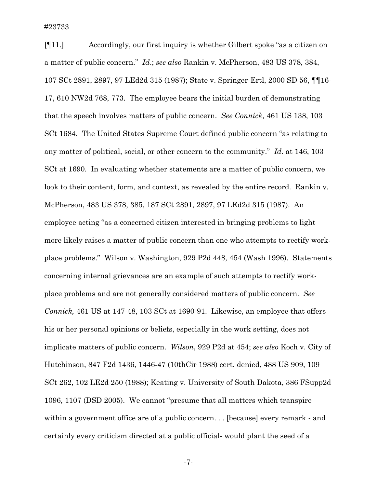[¶11.] Accordingly, our first inquiry is whether Gilbert spoke "as a citizen on a matter of public concern." *Id*.; *see also* Rankin v. McPherson, 483 US 378, 384, 107 SCt 2891, 2897, 97 LEd2d 315 (1987); State v. Springer-Ertl, 2000 SD 56, ¶¶16- 17, 610 NW2d 768, 773. The employee bears the initial burden of demonstrating that the speech involves matters of public concern. *See Connick,* 461 US 138, 103 SCt 1684. The United States Supreme Court defined public concern "as relating to any matter of political, social, or other concern to the community." *Id*. at 146, 103 SCt at 1690. In evaluating whether statements are a matter of public concern, we look to their content, form, and context, as revealed by the entire record. Rankin v. McPherson, 483 US 378, 385, 187 SCt 2891, 2897, 97 LEd2d 315 (1987). An employee acting "as a concerned citizen interested in bringing problems to light more likely raises a matter of public concern than one who attempts to rectify workplace problems." Wilson v. Washington, 929 P2d 448, 454 (Wash 1996). Statements concerning internal grievances are an example of such attempts to rectify workplace problems and are not generally considered matters of public concern. *See Connick,* 461 US at 147-48, 103 SCt at 1690-91. Likewise, an employee that offers his or her personal opinions or beliefs, especially in the work setting, does not implicate matters of public concern. *Wilson*, 929 P2d at 454; *see also* Koch v. City of Hutchinson, 847 F2d 1436, 1446-47 (10thCir 1988) cert. denied, 488 US 909, 109 SCt 262, 102 LE2d 250 (1988); Keating v. University of South Dakota, 386 FSupp2d 1096, 1107 (DSD 2005). We cannot "presume that all matters which transpire within a government office are of a public concern. . . [because] every remark - and certainly every criticism directed at a public official- would plant the seed of a

-7-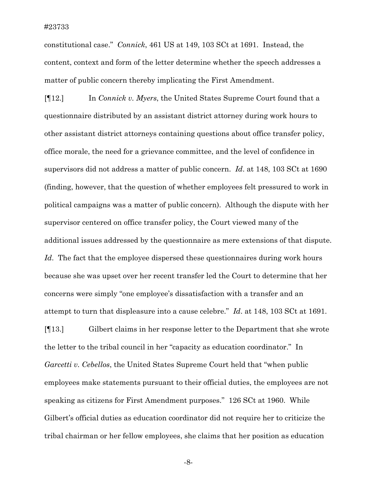constitutional case." *Connick*, 461 US at 149, 103 SCt at 1691. Instead, the content, context and form of the letter determine whether the speech addresses a matter of public concern thereby implicating the First Amendment.

[¶12.] In *Connick v. Myers*, the United States Supreme Court found that a questionnaire distributed by an assistant district attorney during work hours to other assistant district attorneys containing questions about office transfer policy, office morale, the need for a grievance committee, and the level of confidence in supervisors did not address a matter of public concern. *Id*. at 148, 103 SCt at 1690 (finding, however, that the question of whether employees felt pressured to work in political campaigns was a matter of public concern). Although the dispute with her supervisor centered on office transfer policy, the Court viewed many of the additional issues addressed by the questionnaire as mere extensions of that dispute. *Id*. The fact that the employee dispersed these questionnaires during work hours because she was upset over her recent transfer led the Court to determine that her concerns were simply "one employee's dissatisfaction with a transfer and an attempt to turn that displeasure into a cause celebre." *Id*. at 148, 103 SCt at 1691.

[¶13.] Gilbert claims in her response letter to the Department that she wrote the letter to the tribal council in her "capacity as education coordinator." In *Garcetti v. Cebellos*, the United States Supreme Court held that "when public employees make statements pursuant to their official duties, the employees are not speaking as citizens for First Amendment purposes." 126 SCt at 1960. While Gilbert's official duties as education coordinator did not require her to criticize the tribal chairman or her fellow employees, she claims that her position as education

-8-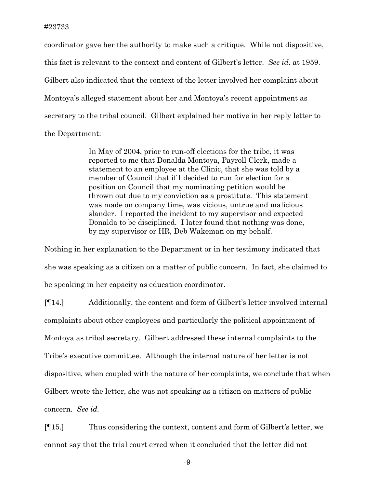coordinator gave her the authority to make such a critique. While not dispositive, this fact is relevant to the context and content of Gilbert's letter. *See id*. at 1959. Gilbert also indicated that the context of the letter involved her complaint about Montoya's alleged statement about her and Montoya's recent appointment as secretary to the tribal council. Gilbert explained her motive in her reply letter to the Department:

> In May of 2004, prior to run-off elections for the tribe, it was reported to me that Donalda Montoya, Payroll Clerk, made a statement to an employee at the Clinic, that she was told by a member of Council that if I decided to run for election for a position on Council that my nominating petition would be thrown out due to my conviction as a prostitute. This statement was made on company time, was vicious, untrue and malicious slander. I reported the incident to my supervisor and expected Donalda to be disciplined. I later found that nothing was done, by my supervisor or HR, Deb Wakeman on my behalf.

Nothing in her explanation to the Department or in her testimony indicated that she was speaking as a citizen on a matter of public concern. In fact, she claimed to be speaking in her capacity as education coordinator.

[¶14.] Additionally, the content and form of Gilbert's letter involved internal complaints about other employees and particularly the political appointment of Montoya as tribal secretary. Gilbert addressed these internal complaints to the Tribe's executive committee. Although the internal nature of her letter is not dispositive, when coupled with the nature of her complaints, we conclude that when Gilbert wrote the letter, she was not speaking as a citizen on matters of public concern. *See id.*

[¶15.] Thus considering the context, content and form of Gilbert's letter, we cannot say that the trial court erred when it concluded that the letter did not

-9-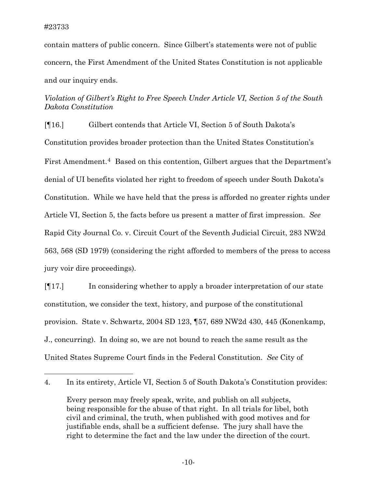contain matters of public concern. Since Gilbert's statements were not of public concern, the First Amendment of the United States Constitution is not applicable and our inquiry ends.

# *Violation of Gilbert's Right to Free Speech Under Article VI, Section 5 of the South Dakota Constitution*

[¶16.] Gilbert contends that Article VI, Section 5 of South Dakota's Constitution provides broader protection than the United States Constitution's First Amendment.<sup>[4](#page-10-0)</sup> Based on this contention, Gilbert argues that the Department's denial of UI benefits violated her right to freedom of speech under South Dakota's Constitution. While we have held that the press is afforded no greater rights under Article VI, Section 5, the facts before us present a matter of first impression. *See* Rapid City Journal Co. v. Circuit Court of the Seventh Judicial Circuit, 283 NW2d 563, 568 (SD 1979) (considering the right afforded to members of the press to access jury voir dire proceedings).

[¶17.] In considering whether to apply a broader interpretation of our state constitution, we consider the text, history, and purpose of the constitutional provision. State v. Schwartz, 2004 SD 123, ¶57, 689 NW2d 430, 445 (Konenkamp, J., concurring). In doing so, we are not bound to reach the same result as the United States Supreme Court finds in the Federal Constitution. *See* City of

<span id="page-10-0"></span><sup>4.</sup> In its entirety, Article VI, Section 5 of South Dakota's Constitution provides:

Every person may freely speak, write, and publish on all subjects, being responsible for the abuse of that right. In all trials for libel, both civil and criminal, the truth, when published with good motives and for justifiable ends, shall be a sufficient defense. The jury shall have the right to determine the fact and the law under the direction of the court.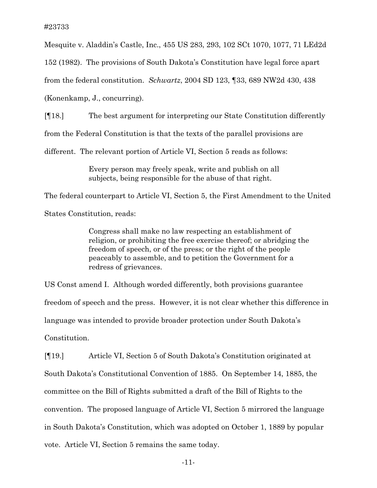Mesquite v. Aladdin's Castle, Inc., 455 US 283, 293, 102 SCt 1070, 1077, 71 LEd2d

152 (1982). The provisions of South Dakota's Constitution have legal force apart

from the federal constitution. *Schwartz*, 2004 SD 123, ¶33, 689 NW2d 430, 438

(Konenkamp, J., concurring).

[¶18.] The best argument for interpreting our State Constitution differently

from the Federal Constitution is that the texts of the parallel provisions are

different. The relevant portion of Article VI, Section 5 reads as follows:

 Every person may freely speak, write and publish on all subjects, being responsible for the abuse of that right.

The federal counterpart to Article VI, Section 5, the First Amendment to the United

States Constitution, reads:

 Congress shall make no law respecting an establishment of religion, or prohibiting the free exercise thereof; or abridging the freedom of speech, or of the press; or the right of the people peaceably to assemble, and to petition the Government for a redress of grievances.

US Const amend I. Although worded differently, both provisions guarantee freedom of speech and the press. However, it is not clear whether this difference in language was intended to provide broader protection under South Dakota's Constitution.

[¶19.] Article VI, Section 5 of South Dakota's Constitution originated at South Dakota's Constitutional Convention of 1885. On September 14, 1885, the committee on the Bill of Rights submitted a draft of the Bill of Rights to the convention. The proposed language of Article VI, Section 5 mirrored the language in South Dakota's Constitution, which was adopted on October 1, 1889 by popular vote. Article VI, Section 5 remains the same today.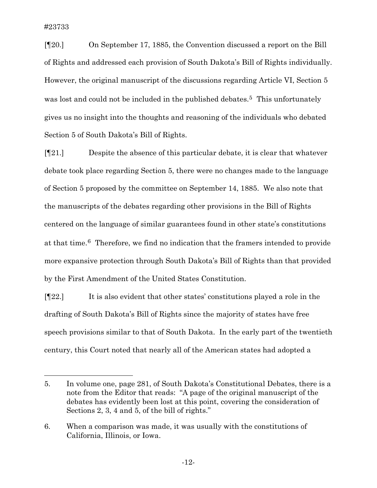$\overline{a}$ 

[¶20.] On September 17, 1885, the Convention discussed a report on the Bill of Rights and addressed each provision of South Dakota's Bill of Rights individually. However, the original manuscript of the discussions regarding Article VI, Section 5 was lost and could not be included in the published debates.<sup>[5](#page-12-0)</sup> This unfortunately gives us no insight into the thoughts and reasoning of the individuals who debated Section 5 of South Dakota's Bill of Rights.

[¶21.] Despite the absence of this particular debate, it is clear that whatever debate took place regarding Section 5, there were no changes made to the language of Section 5 proposed by the committee on September 14, 1885. We also note that the manuscripts of the debates regarding other provisions in the Bill of Rights centered on the language of similar guarantees found in other state's constitutions at that time.[6](#page-12-1) Therefore, we find no indication that the framers intended to provide more expansive protection through South Dakota's Bill of Rights than that provided by the First Amendment of the United States Constitution.

[¶22.] It is also evident that other states' constitutions played a role in the drafting of South Dakota's Bill of Rights since the majority of states have free speech provisions similar to that of South Dakota. In the early part of the twentieth century, this Court noted that nearly all of the American states had adopted a

<span id="page-12-0"></span><sup>5.</sup> In volume one, page 281, of South Dakota's Constitutional Debates, there is a note from the Editor that reads: "A page of the original manuscript of the debates has evidently been lost at this point, covering the consideration of Sections 2, 3, 4 and 5, of the bill of rights."

<span id="page-12-1"></span><sup>6.</sup> When a comparison was made, it was usually with the constitutions of California, Illinois, or Iowa.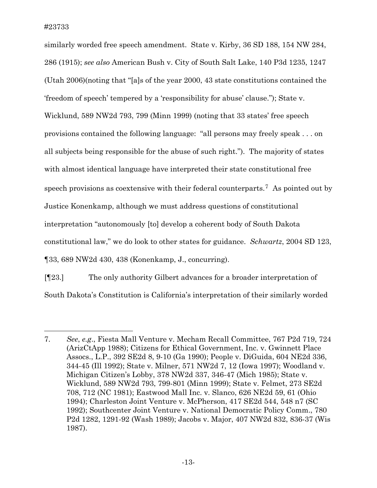similarly worded free speech amendment. State v. Kirby, 36 SD 188, 154 NW 284, 286 (1915); *see also* American Bush v. City of South Salt Lake, 140 P3d 1235, 1247 (Utah 2006)(noting that "[a]s of the year 2000, 43 state constitutions contained the 'freedom of speech' tempered by a 'responsibility for abuse' clause."); State v. Wicklund, 589 NW2d 793, 799 (Minn 1999) (noting that 33 states' free speech provisions contained the following language: "all persons may freely speak . . . on all subjects being responsible for the abuse of such right."). The majority of states with almost identical language have interpreted their state constitutional free speech provisions as coextensive with their federal counterparts.[7](#page-13-0) As pointed out by Justice Konenkamp, although we must address questions of constitutional interpretation "autonomously [to] develop a coherent body of South Dakota constitutional law," we do look to other states for guidance. *Schwartz*, 2004 SD 123, ¶33, 689 NW2d 430, 438 (Konenkamp, J., concurring).

[¶23.] The only authority Gilbert advances for a broader interpretation of South Dakota's Constitution is California's interpretation of their similarly worded

<span id="page-13-0"></span><sup>7.</sup> *See*, *e.g*., Fiesta Mall Venture v. Mecham Recall Committee, 767 P2d 719, 724 (ArizCtApp 1988); Citizens for Ethical Government, Inc. v. Gwinnett Place Assocs., L.P., 392 SE2d 8, 9-10 (Ga 1990); People v. DiGuida, 604 NE2d 336, 344-45 (Ill 1992); State v. Milner, 571 NW2d 7, 12 (Iowa 1997); Woodland v. Michigan Citizen's Lobby, 378 NW2d 337, 346-47 (Mich 1985); State v. Wicklund, 589 NW2d 793, 799-801 (Minn 1999); State v. Felmet, 273 SE2d 708, 712 (NC 1981); Eastwood Mall Inc. v. Slanco, 626 NE2d 59, 61 (Ohio 1994); Charleston Joint Venture v. McPherson, 417 SE2d 544, 548 n7 (SC 1992); Southcenter Joint Venture v. National Democratic Policy Comm., 780 P2d 1282, 1291-92 (Wash 1989); Jacobs v. Major, 407 NW2d 832, 836-37 (Wis 1987).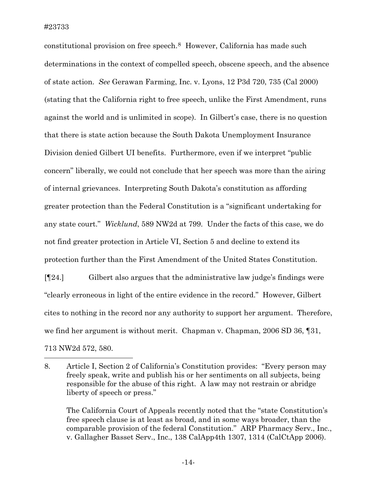constitutional provision on free speech.[8](#page-14-0) However, California has made such determinations in the context of compelled speech, obscene speech, and the absence of state action. *See* Gerawan Farming, Inc. v. Lyons, 12 P3d 720, 735 (Cal 2000) (stating that the California right to free speech, unlike the First Amendment, runs against the world and is unlimited in scope). In Gilbert's case, there is no question that there is state action because the South Dakota Unemployment Insurance Division denied Gilbert UI benefits. Furthermore, even if we interpret "public concern" liberally, we could not conclude that her speech was more than the airing of internal grievances. Interpreting South Dakota's constitution as affording greater protection than the Federal Constitution is a "significant undertaking for any state court." *Wicklund*, 589 NW2d at 799. Under the facts of this case, we do not find greater protection in Article VI, Section 5 and decline to extend its protection further than the First Amendment of the United States Constitution.

[¶24.] Gilbert also argues that the administrative law judge's findings were "clearly erroneous in light of the entire evidence in the record." However, Gilbert cites to nothing in the record nor any authority to support her argument. Therefore, we find her argument is without merit. Chapman v. Chapman, 2006 SD 36, [31,] 713 NW2d 572, 580.

The California Court of Appeals recently noted that the "state Constitution's free speech clause is at least as broad, and in some ways broader, than the comparable provision of the federal Constitution." ARP Pharmacy Serv., Inc., v. Gallagher Basset Serv., Inc., 138 CalApp4th 1307, 1314 (CalCtApp 2006).

<span id="page-14-0"></span><sup>8.</sup> Article I, Section 2 of California's Constitution provides: "Every person may freely speak, write and publish his or her sentiments on all subjects, being responsible for the abuse of this right. A law may not restrain or abridge liberty of speech or press."